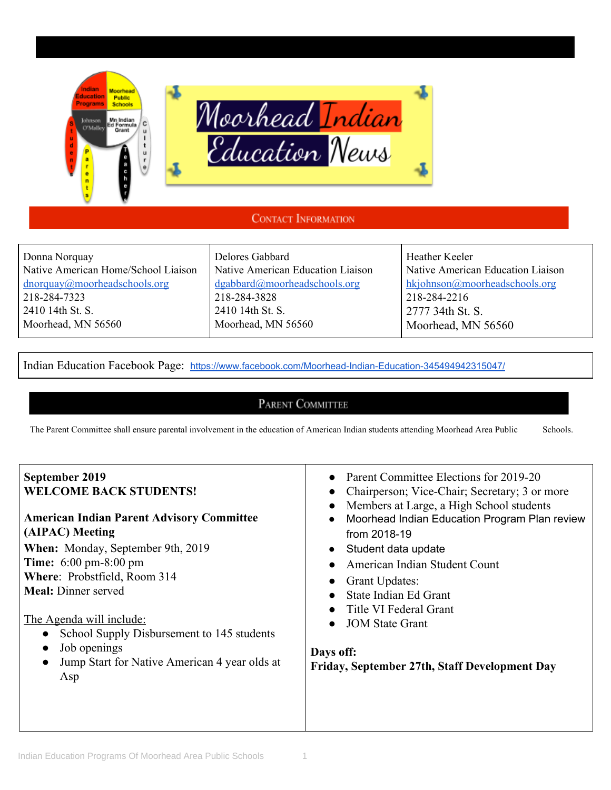

#### **CONTACT INFORMATION**

**SEQUOIA CLUB**

| Delores Gabbard                   | Heather Keeler                    |
|-----------------------------------|-----------------------------------|
| Native American Education Liaison | Native American Education Liaison |
| dgabbard@moorheadschools.org      | hkjohnson@moorheadschools.org     |
| 218-284-3828                      | 218-284-2216                      |
| 2410 14th St. S.                  | 2777 34th St. S.                  |
| Moorhead, MN 56560                | Moorhead, MN 56560                |
|                                   |                                   |

Indian Education Facebook Page: <https://www.facebook.com/Moorhead-Indian-Education-345494942315047/>

#### PARENT COMMITTEE

The Parent Committee shall ensure parental involvement in the education of American Indian students attending Moorhead Area Public Schools.

| September 2019                                   | <b>Parent</b>       |
|--------------------------------------------------|---------------------|
| <b>WELCOME BACK STUDENTS!</b>                    | Chairp              |
|                                                  | Memb                |
| <b>American Indian Parent Advisory Committee</b> | Moorh<br>$\bullet$  |
| (AIPAC) Meeting                                  | from 2              |
| When: Monday, September 9th, 2019                | Studer<br>$\bullet$ |
| <b>Time:</b> $6:00 \text{ pm}-8:00 \text{ pm}$   | Ameri               |
| Where: Probstfield, Room 314                     | Grant <sup>1</sup>  |
| Meal: Dinner served                              | State I             |
|                                                  |                     |

The Agenda will include:

- School Supply Disbursement to 145 students
- Job openings
- Jump Start for Native American 4 year olds at Asp
- Committee Elections for 2019-20
- erson; Vice-Chair; Secretary; 3 or more
- ers at Large, a High School students
- ead Indian Education Program Plan review 018-19
- nt data update
- can Indian Student Count
- **Updates:**
- ndian Ed Grant
- Title VI Federal Grant
- **JOM State Grant**

**Days off: Friday, September 27th, Staff Development Day**